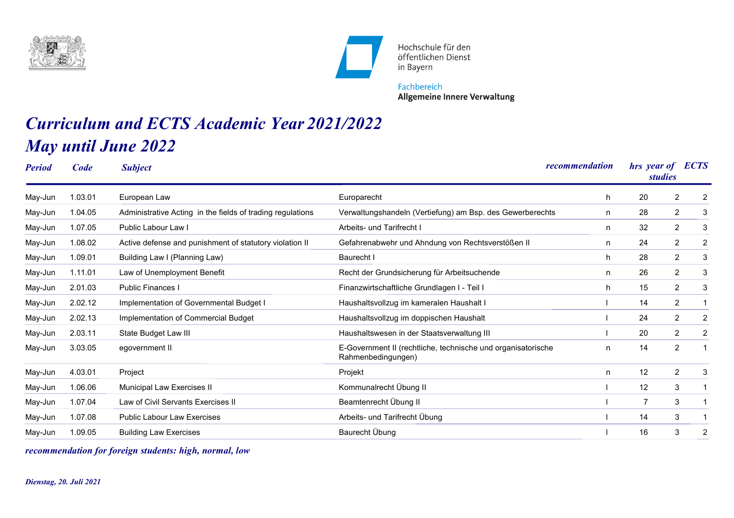



Hochschule für den öffentlichen Dienst in Bayern

Fachbereich **Allgemeine Innere Verwaltung** 

## *Curriculum and ECTS Academic Year 2021/2022 May until June 2022*

| <b>Period</b> | Code    | <b>Subject</b>                                             |                                                                                    | recommendation | <b>ECTS</b><br>hrs year of<br><i>studies</i> |                                  |
|---------------|---------|------------------------------------------------------------|------------------------------------------------------------------------------------|----------------|----------------------------------------------|----------------------------------|
| May-Jun       | 1.03.01 | European Law                                               | Europarecht                                                                        | h              | 20                                           | 2<br>2                           |
| May-Jun       | 1.04.05 | Administrative Acting in the fields of trading regulations | Verwaltungshandeln (Vertiefung) am Bsp. des Gewerberechts                          | n              | 28                                           | 2<br>3                           |
| May-Jun       | 1.07.05 | Public Labour Law I                                        | Arbeits- und Tarifrecht I                                                          | n              | 32                                           | 2<br>3                           |
| May-Jun       | 1.08.02 | Active defense and punishment of statutory violation II    | Gefahrenabwehr und Ahndung von Rechtsverstößen II                                  | n              | 24                                           | 2<br>$\overline{2}$              |
| May-Jun       | 1.09.01 | Building Law I (Planning Law)                              | Baurecht I                                                                         | h              | 28                                           | 2<br>3                           |
| May-Jun       | 1.11.01 | Law of Unemployment Benefit                                | Recht der Grundsicherung für Arbeitsuchende                                        | n              | 26                                           | $\overline{2}$<br>3              |
| May-Jun       | 2.01.03 | <b>Public Finances I</b>                                   | Finanzwirtschaftliche Grundlagen I - Teil I                                        | h              | 15                                           | 2<br>3                           |
| May-Jun       | 2.02.12 | Implementation of Governmental Budget I                    | Haushaltsvollzug im kameralen Haushalt I                                           |                | 14                                           | 2                                |
| May-Jun       | 2.02.13 | Implementation of Commercial Budget                        | Haushaltsvollzug im doppischen Haushalt                                            |                | 24                                           | $\overline{2}$<br>2              |
| May-Jun       | 2.03.11 | State Budget Law III                                       | Haushaltswesen in der Staatsverwaltung III                                         |                | 20                                           | $\overline{2}$<br>$\overline{2}$ |
| May-Jun       | 3.03.05 | egovernment II                                             | E-Government II (rechtliche, technische und organisatorische<br>Rahmenbedingungen) | n              | 14                                           | $\overline{2}$                   |
| May-Jun       | 4.03.01 | Project                                                    | Projekt                                                                            | n              | 12                                           | 2<br>3                           |
| May-Jun       | 1.06.06 | Municipal Law Exercises II                                 | Kommunalrecht Übung II                                                             |                | 12                                           | 3                                |
| May-Jun       | 1.07.04 | Law of Civil Servants Exercises II                         | Beamtenrecht Übung II                                                              |                | 7                                            | 3                                |
| May-Jun       | 1.07.08 | Public Labour Law Exercises                                | Arbeits- und Tarifrecht Übung                                                      |                | 14                                           | 3                                |
| May-Jun       | 1.09.05 | <b>Building Law Exercises</b>                              | Baurecht Übung                                                                     |                | 16                                           | $\overline{2}$<br>3              |

*recommendation for foreign students: high, normal, low*